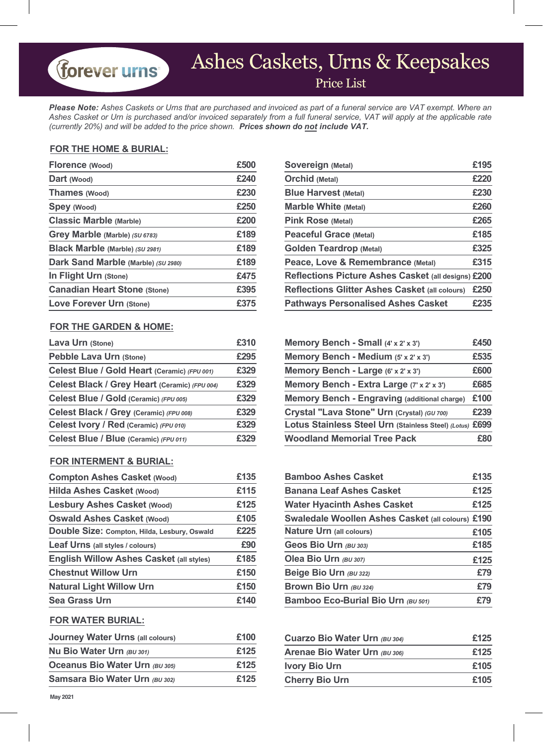# Ashes Caskets, Urns & Keepsakes

Price List

*Please Note: Ashes Caskets or Urns that are purchased and invoiced as part of a funeral service are VAT exempt. Where an Ashes Casket or Urn is purchased and/or invoiced separately from a full funeral service, VAT will apply at the applicable rate (currently 20%) and will be added to the price shown. Prices shown do not include VAT.*

#### **FOR THE HOME & BURIAL:**

forever urns

| Florence (Wood)                     | £500 | Sovereign (Metal)                                   | £195 |
|-------------------------------------|------|-----------------------------------------------------|------|
| Dart (Wood)                         | £240 | Orchid (Metal)                                      | £220 |
| Thames (Wood)                       | £230 | <b>Blue Harvest (Metal)</b>                         | £230 |
| Spey (Wood)                         | £250 | <b>Marble White (Metal)</b>                         | £260 |
| <b>Classic Marble (Marble)</b>      | £200 | Pink Rose (Metal)                                   | £265 |
| Grey Marble (Marble) (SU 6783)      | £189 | Peaceful Grace (Metal)                              | £185 |
| Black Marble (Marble) (SU 2981)     | £189 | <b>Golden Teardrop (Metal)</b>                      | £325 |
| Dark Sand Marble (Marble) (SU 2980) | £189 | Peace, Love & Remembrance (Metal)                   | £315 |
| In Flight Urn (Stone)               | £475 | Reflections Picture Ashes Casket (all designs) £200 |      |
| <b>Canadian Heart Stone (Stone)</b> | £395 | Reflections Glitter Ashes Casket (all colours)      | £250 |
| Love Forever Urn (Stone)            | £375 | <b>Pathways Personalised Ashes Casket</b>           | £235 |

#### **FOR THE GARDEN & HOME:**

| Pebble Lava Urn (Stone)                       | £295 |
|-----------------------------------------------|------|
| Celest Blue / Gold Heart (Ceramic) (FPU 001)  | £329 |
| Celest Black / Grey Heart (Ceramic) (FPU 004) | £329 |
| Celest Blue / Gold (Ceramic) (FPU 005)        | £329 |
| Celest Black / Grey (Ceramic) (FPU 008)       | £329 |
| Celest Ivory / Red (Ceramic) (FPU 010)        | £329 |
| Celest Blue / Blue (Ceramic) (FPU 011)        | £329 |

#### **FOR INTERMENT & BURIAL:**

| <b>Compton Ashes Casket (Wood)</b>              | £135 | <b>Bamboo Ashes Casket</b>                        | £135 |
|-------------------------------------------------|------|---------------------------------------------------|------|
| Hilda Ashes Casket (Wood)                       | £115 | <b>Banana Leaf Ashes Casket</b>                   | £125 |
| <b>Lesbury Ashes Casket (Wood)</b>              | £125 | <b>Water Hyacinth Ashes Casket</b>                | £125 |
| <b>Oswald Ashes Casket (Wood)</b>               | £105 | Swaledale Woollen Ashes Casket (all colours) £190 |      |
| Double Size: Compton, Hilda, Lesbury, Oswald    | £225 | Nature Urn (all colours)                          | £105 |
| Leaf Urns (all styles / colours)                | £90  | Geos Bio Urn (BU 303)                             | £185 |
| <b>English Willow Ashes Casket (all styles)</b> | £185 | Olea Bio Urn (BU 307)                             | £125 |
| <b>Chestnut Willow Urn</b>                      | £150 | Beige Bio Urn (BU 322)                            | £79  |
| <b>Natural Light Willow Urn</b>                 | £150 | Brown Bio Urn (BU 324)                            | £79  |
| Sea Grass Urn                                   | £140 | Bamboo Eco-Burial Bio Urn (BU 501)                | £79  |

#### **FOR WATER BURIAL:**

| Journey Water Urns (all colours) | £100 | Cuarzo Bio Water Urn (BU 304) | £125 |  |
|----------------------------------|------|-------------------------------|------|--|
| Nu Bio Water Urn (BU 301)        | £125 | Arenae Bio Water Urn (BU 306) | £125 |  |
| Oceanus Bio Water Urn (BU 305)   | £125 | Ivory Bio Urn                 | £105 |  |
| Samsara Bio Water Urn (BU 302)   | £125 | <b>Cherry Bio Urn</b>         | £105 |  |

| Sovereign (Metal)                                          | £195 |
|------------------------------------------------------------|------|
| <b>Orchid</b> (Metal)                                      | £220 |
| <b>Blue Harvest (Metal)</b>                                | £230 |
| <b>Marble White (Metal)</b>                                | £260 |
| <b>Pink Rose (Metal)</b>                                   | £265 |
| <b>Peaceful Grace (Metal)</b>                              | £185 |
| <b>Golden Teardrop (Metal)</b>                             | £325 |
| Peace, Love & Remembrance (Metal)                          | £315 |
| <b>Reflections Picture Ashes Casket (all designs) £200</b> |      |
| <b>Reflections Glitter Ashes Casket (all colours)</b>      | £250 |
| <b>Pathways Personalised Ashes Casket</b>                  | £235 |

| Lava Urn (Stone)                              | £310 | Memory Bench - Small (4' x 2' x 3')                      | £450 |
|-----------------------------------------------|------|----------------------------------------------------------|------|
| Pebble Lava Urn (Stone)                       | £295 | Memory Bench - Medium (5' x 2' x 3')                     | £535 |
| Celest Blue / Gold Heart (Ceramic) (FPU 001)  | £329 | Memory Bench - Large (6' x 2' x 3')                      | £600 |
| Celest Black / Grey Heart (Ceramic) (FPU 004) | £329 | Memory Bench - Extra Large (7' x 2' x 3')                | £685 |
| Celest Blue / Gold (Ceramic) (FPU 005)        | £329 | Memory Bench - Engraving (additional charge)             | £100 |
| Celest Black / Grey (Ceramic) (FPU 008)       | £329 | Crystal "Lava Stone" Urn (Crystal) (GU 700)              | £239 |
| Celest Ivory / Red (Ceramic) (FPU 010)        | £329 | Lotus Stainless Steel Urn (Stainless Steel) (Lotus) £699 |      |
| Celest Blue / Blue (Ceramic) (FPU 011)        | £329 | <b>Woodland Memorial Tree Pack</b>                       | £80  |
|                                               |      |                                                          |      |

| £135 | <b>Bamboo Ashes Casket</b>                        | £135 |
|------|---------------------------------------------------|------|
| £115 | <b>Banana Leaf Ashes Casket</b>                   | £125 |
| £125 | <b>Water Hyacinth Ashes Casket</b>                | £125 |
| £105 | Swaledale Woollen Ashes Casket (all colours) £190 |      |
| £225 | Nature Urn (all colours)                          | £105 |
| £90  | Geos Bio Urn (BU 303)                             | £185 |
| £185 | Olea Bio Urn (BU 307)                             | £125 |
| £150 | Beige Bio Urn (BU 322)                            | £79  |
| £150 | Brown Bio Urn (BU 324)                            | £79  |
| £140 | Bamboo Eco-Burial Bio Urn (BU 501)                | £79  |
|      |                                                   |      |

| £100 | Cuarzo Bio Water Urn (BU 304) | £125 |
|------|-------------------------------|------|
| £125 | Arenae Bio Water Urn (BU 306) | £125 |
| £125 | <b>Ivory Bio Urn</b>          | £105 |
| £125 | <b>Cherry Bio Urn</b>         | £105 |